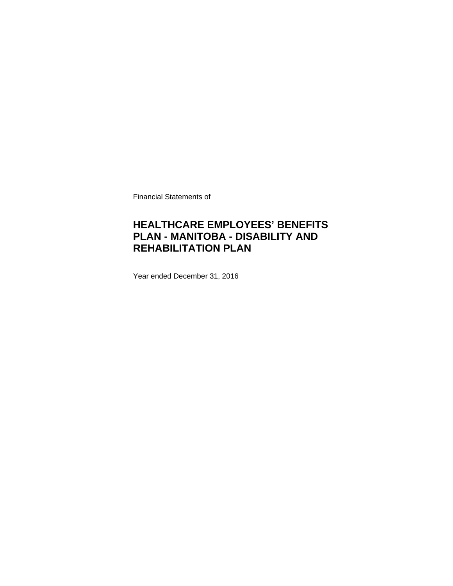Financial Statements of

## **HEALTHCARE EMPLOYEES' BENEFITS PLAN - MANITOBA - DISABILITY AND REHABILITATION PLAN**

Year ended December 31, 2016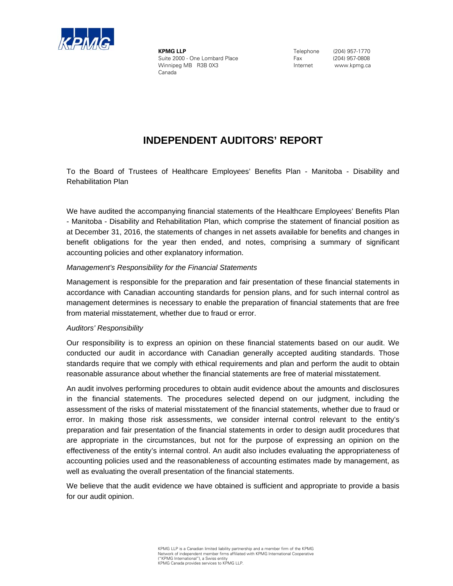

**KPMG LLP** Suite 2000 - One Lombard Place Winnipeg MB R3B 0X3 Canada

 Telephone (204) 957-1770 Fax (204) 957-0808 Internet www.kpmg.ca

## **INDEPENDENT AUDITORS' REPORT**

To the Board of Trustees of Healthcare Employees' Benefits Plan - Manitoba - Disability and Rehabilitation Plan

We have audited the accompanying financial statements of the Healthcare Employees' Benefits Plan - Manitoba - Disability and Rehabilitation Plan, which comprise the statement of financial position as at December 31, 2016, the statements of changes in net assets available for benefits and changes in benefit obligations for the year then ended, and notes, comprising a summary of significant accounting policies and other explanatory information.

#### *Management's Responsibility for the Financial Statements*

Management is responsible for the preparation and fair presentation of these financial statements in accordance with Canadian accounting standards for pension plans, and for such internal control as management determines is necessary to enable the preparation of financial statements that are free from material misstatement, whether due to fraud or error.

### *Auditors' Responsibility*

Our responsibility is to express an opinion on these financial statements based on our audit. We conducted our audit in accordance with Canadian generally accepted auditing standards. Those standards require that we comply with ethical requirements and plan and perform the audit to obtain reasonable assurance about whether the financial statements are free of material misstatement.

An audit involves performing procedures to obtain audit evidence about the amounts and disclosures in the financial statements. The procedures selected depend on our judgment, including the assessment of the risks of material misstatement of the financial statements, whether due to fraud or error. In making those risk assessments, we consider internal control relevant to the entity's preparation and fair presentation of the financial statements in order to design audit procedures that are appropriate in the circumstances, but not for the purpose of expressing an opinion on the effectiveness of the entity's internal control. An audit also includes evaluating the appropriateness of accounting policies used and the reasonableness of accounting estimates made by management, as well as evaluating the overall presentation of the financial statements.

We believe that the audit evidence we have obtained is sufficient and appropriate to provide a basis for our audit opinion.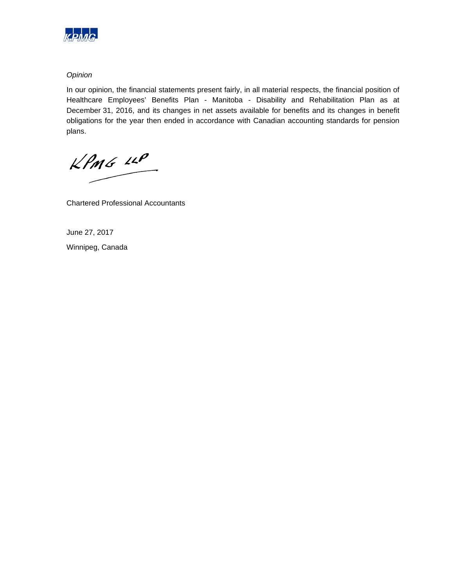

### *Opinion*

In our opinion, the financial statements present fairly, in all material respects, the financial position of Healthcare Employees' Benefits Plan - Manitoba - Disability and Rehabilitation Plan as at December 31, 2016, and its changes in net assets available for benefits and its changes in benefit obligations for the year then ended in accordance with Canadian accounting standards for pension plans.

 $kPMS$   $\mu P$ 

Chartered Professional Accountants

June 27, 2017 Winnipeg, Canada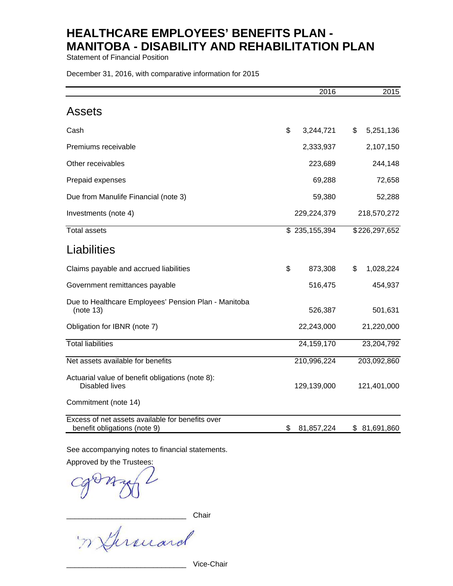Statement of Financial Position

December 31, 2016, with comparative information for 2015

|                                                                                  | 2016             | 2015            |
|----------------------------------------------------------------------------------|------------------|-----------------|
| <b>Assets</b>                                                                    |                  |                 |
| Cash                                                                             | \$<br>3,244,721  | \$<br>5,251,136 |
| Premiums receivable                                                              | 2,333,937        | 2,107,150       |
| Other receivables                                                                | 223,689          | 244,148         |
| Prepaid expenses                                                                 | 69,288           | 72,658          |
| Due from Manulife Financial (note 3)                                             | 59,380           | 52,288          |
| Investments (note 4)                                                             | 229,224,379      | 218,570,272     |
| <b>Total assets</b>                                                              | \$235,155,394    | \$226,297,652   |
| Liabilities                                                                      |                  |                 |
| Claims payable and accrued liabilities                                           | \$<br>873,308    | \$<br>1,028,224 |
| Government remittances payable                                                   | 516,475          | 454,937         |
| Due to Healthcare Employees' Pension Plan - Manitoba<br>(note 13)                | 526,387          | 501,631         |
| Obligation for IBNR (note 7)                                                     | 22,243,000       | 21,220,000      |
| <b>Total liabilities</b>                                                         | 24,159,170       | 23,204,792      |
| Net assets available for benefits                                                | 210,996,224      | 203,092,860     |
| Actuarial value of benefit obligations (note 8):<br><b>Disabled lives</b>        | 129,139,000      | 121,401,000     |
| Commitment (note 14)                                                             |                  |                 |
| Excess of net assets available for benefits over<br>benefit obligations (note 9) | \$<br>81,857,224 | \$ 81,691,860   |

See accompanying notes to financial statements.

Approved by the Trustees:

n Ghreuard

\_\_\_\_\_\_\_\_\_\_\_\_\_\_\_\_\_\_\_\_\_\_\_\_\_\_\_\_\_ Vice-Chair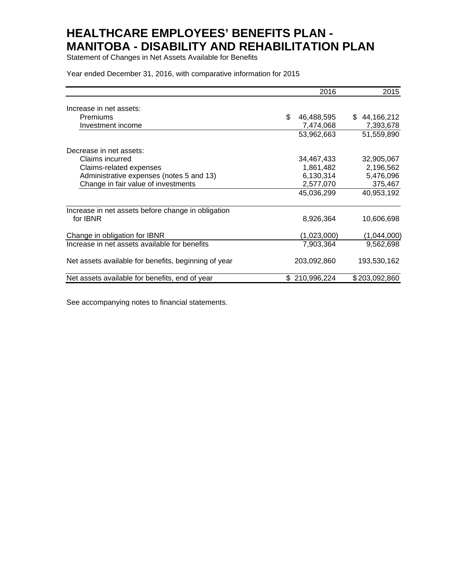Statement of Changes in Net Assets Available for Benefits

Year ended December 31, 2016, with comparative information for 2015

|                                                      | 2016              | 2015             |
|------------------------------------------------------|-------------------|------------------|
| Increase in net assets:                              |                   |                  |
| Premiums                                             | \$<br>46,488,595  | 44,166,212<br>\$ |
| Investment income                                    | 7,474,068         | 7,393,678        |
|                                                      | 53,962,663        | 51,559,890       |
| Decrease in net assets:                              |                   |                  |
| Claims incurred                                      | 34,467,433        | 32,905,067       |
| Claims-related expenses                              | 1,861,482         | 2,196,562        |
| Administrative expenses (notes 5 and 13)             | 6,130,314         | 5,476,096        |
| Change in fair value of investments                  | 2,577,070         | 375,467          |
|                                                      | 45,036,299        | 40,953,192       |
| Increase in net assets before change in obligation   |                   |                  |
| for IBNR                                             | 8,926,364         | 10,606,698       |
| Change in obligation for IBNR                        | (1,023,000)       | (1,044,000)      |
| Increase in net assets available for benefits        | 7,903,364         | 9,562,698        |
| Net assets available for benefits, beginning of year | 203,092,860       | 193,530,162      |
| Net assets available for benefits, end of year       | \$<br>210,996,224 | \$203,092,860    |

See accompanying notes to financial statements.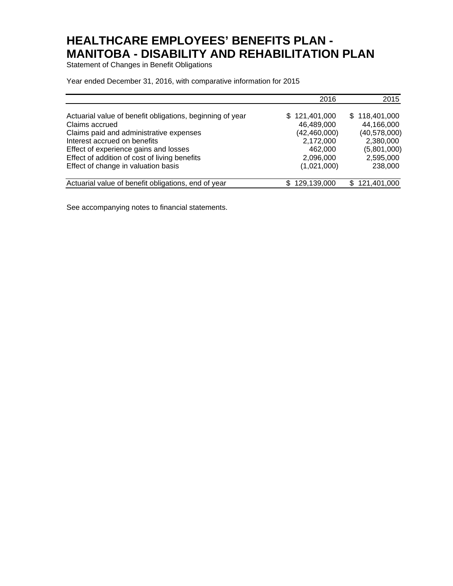Statement of Changes in Benefit Obligations

Year ended December 31, 2016, with comparative information for 2015

|                                                                                                                                                                                                                                                  | 2016                                                                               | 2015                                                                                 |
|--------------------------------------------------------------------------------------------------------------------------------------------------------------------------------------------------------------------------------------------------|------------------------------------------------------------------------------------|--------------------------------------------------------------------------------------|
| Actuarial value of benefit obligations, beginning of year<br>Claims accrued<br>Claims paid and administrative expenses<br>Interest accrued on benefits<br>Effect of experience gains and losses<br>Effect of addition of cost of living benefits | \$121,401,000<br>46,489,000<br>(42, 460, 000)<br>2,172,000<br>462,000<br>2,096,000 | \$118,401,000<br>44,166,000<br>(40,578,000)<br>2,380,000<br>(5,801,000)<br>2,595,000 |
| Effect of change in valuation basis                                                                                                                                                                                                              | (1,021,000)                                                                        | 238,000                                                                              |
| Actuarial value of benefit obligations, end of year                                                                                                                                                                                              | 129,139,000                                                                        | \$121,401,000                                                                        |

See accompanying notes to financial statements.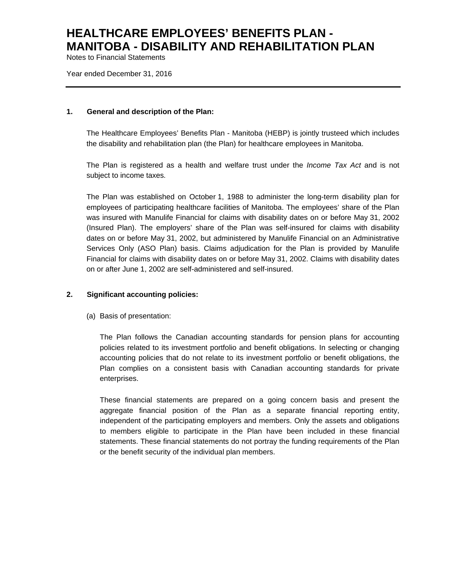Notes to Financial Statements

Year ended December 31, 2016

#### **1. General and description of the Plan:**

The Healthcare Employees' Benefits Plan - Manitoba (HEBP) is jointly trusteed which includes the disability and rehabilitation plan (the Plan) for healthcare employees in Manitoba.

The Plan is registered as a health and welfare trust under the *Income Tax Act* and is not subject to income taxes*.*

The Plan was established on October 1, 1988 to administer the long-term disability plan for employees of participating healthcare facilities of Manitoba. The employees' share of the Plan was insured with Manulife Financial for claims with disability dates on or before May 31, 2002 (Insured Plan). The employers' share of the Plan was self-insured for claims with disability dates on or before May 31, 2002, but administered by Manulife Financial on an Administrative Services Only (ASO Plan) basis. Claims adjudication for the Plan is provided by Manulife Financial for claims with disability dates on or before May 31, 2002. Claims with disability dates on or after June 1, 2002 are self-administered and self-insured.

### **2. Significant accounting policies:**

(a) Basis of presentation:

The Plan follows the Canadian accounting standards for pension plans for accounting policies related to its investment portfolio and benefit obligations. In selecting or changing accounting policies that do not relate to its investment portfolio or benefit obligations, the Plan complies on a consistent basis with Canadian accounting standards for private enterprises.

These financial statements are prepared on a going concern basis and present the aggregate financial position of the Plan as a separate financial reporting entity, independent of the participating employers and members. Only the assets and obligations to members eligible to participate in the Plan have been included in these financial statements. These financial statements do not portray the funding requirements of the Plan or the benefit security of the individual plan members.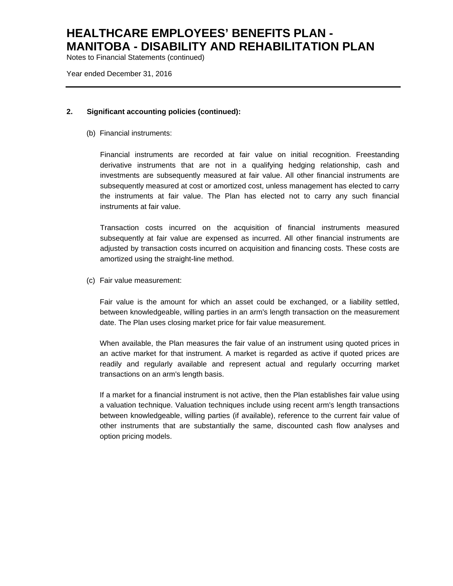Notes to Financial Statements (continued)

Year ended December 31, 2016

### **2. Significant accounting policies (continued):**

(b) Financial instruments:

Financial instruments are recorded at fair value on initial recognition. Freestanding derivative instruments that are not in a qualifying hedging relationship, cash and investments are subsequently measured at fair value. All other financial instruments are subsequently measured at cost or amortized cost, unless management has elected to carry the instruments at fair value. The Plan has elected not to carry any such financial instruments at fair value.

Transaction costs incurred on the acquisition of financial instruments measured subsequently at fair value are expensed as incurred. All other financial instruments are adjusted by transaction costs incurred on acquisition and financing costs. These costs are amortized using the straight-line method.

(c) Fair value measurement:

Fair value is the amount for which an asset could be exchanged, or a liability settled, between knowledgeable, willing parties in an arm's length transaction on the measurement date. The Plan uses closing market price for fair value measurement.

When available, the Plan measures the fair value of an instrument using quoted prices in an active market for that instrument. A market is regarded as active if quoted prices are readily and regularly available and represent actual and regularly occurring market transactions on an arm's length basis.

If a market for a financial instrument is not active, then the Plan establishes fair value using a valuation technique. Valuation techniques include using recent arm's length transactions between knowledgeable, willing parties (if available), reference to the current fair value of other instruments that are substantially the same, discounted cash flow analyses and option pricing models.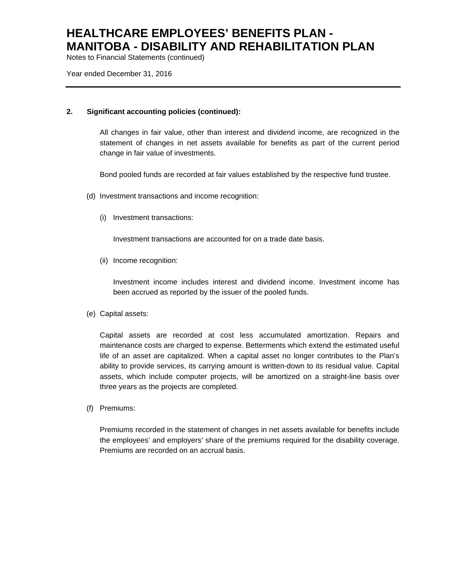Notes to Financial Statements (continued)

Year ended December 31, 2016

### **2. Significant accounting policies (continued):**

All changes in fair value, other than interest and dividend income, are recognized in the statement of changes in net assets available for benefits as part of the current period change in fair value of investments.

Bond pooled funds are recorded at fair values established by the respective fund trustee.

- (d) Investment transactions and income recognition:
	- (i) Investment transactions:

Investment transactions are accounted for on a trade date basis.

(ii) Income recognition:

Investment income includes interest and dividend income. Investment income has been accrued as reported by the issuer of the pooled funds.

(e) Capital assets:

Capital assets are recorded at cost less accumulated amortization. Repairs and maintenance costs are charged to expense. Betterments which extend the estimated useful life of an asset are capitalized. When a capital asset no longer contributes to the Plan's ability to provide services, its carrying amount is written-down to its residual value. Capital assets, which include computer projects, will be amortized on a straight-line basis over three years as the projects are completed.

(f) Premiums:

Premiums recorded in the statement of changes in net assets available for benefits include the employees' and employers' share of the premiums required for the disability coverage. Premiums are recorded on an accrual basis.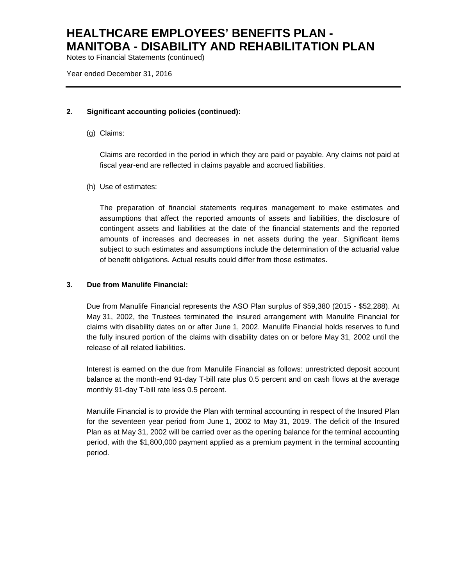Notes to Financial Statements (continued)

Year ended December 31, 2016

### **2. Significant accounting policies (continued):**

(g) Claims:

Claims are recorded in the period in which they are paid or payable. Any claims not paid at fiscal year-end are reflected in claims payable and accrued liabilities.

(h) Use of estimates:

The preparation of financial statements requires management to make estimates and assumptions that affect the reported amounts of assets and liabilities, the disclosure of contingent assets and liabilities at the date of the financial statements and the reported amounts of increases and decreases in net assets during the year. Significant items subject to such estimates and assumptions include the determination of the actuarial value of benefit obligations. Actual results could differ from those estimates.

## **3. Due from Manulife Financial:**

Due from Manulife Financial represents the ASO Plan surplus of \$59,380 (2015 - \$52,288). At May 31, 2002, the Trustees terminated the insured arrangement with Manulife Financial for claims with disability dates on or after June 1, 2002. Manulife Financial holds reserves to fund the fully insured portion of the claims with disability dates on or before May 31, 2002 until the release of all related liabilities.

Interest is earned on the due from Manulife Financial as follows: unrestricted deposit account balance at the month-end 91-day T-bill rate plus 0.5 percent and on cash flows at the average monthly 91-day T-bill rate less 0.5 percent.

Manulife Financial is to provide the Plan with terminal accounting in respect of the Insured Plan for the seventeen year period from June 1, 2002 to May 31, 2019. The deficit of the Insured Plan as at May 31, 2002 will be carried over as the opening balance for the terminal accounting period, with the \$1,800,000 payment applied as a premium payment in the terminal accounting period.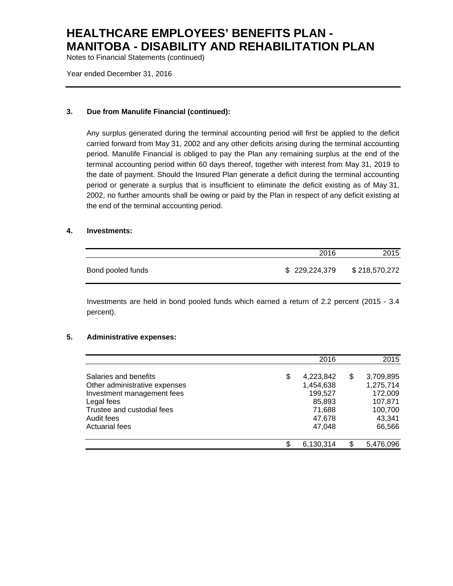Notes to Financial Statements (continued)

Year ended December 31, 2016

### **3. Due from Manulife Financial (continued):**

Any surplus generated during the terminal accounting period will first be applied to the deficit carried forward from May 31, 2002 and any other deficits arising during the terminal accounting period. Manulife Financial is obliged to pay the Plan any remaining surplus at the end of the terminal accounting period within 60 days thereof, together with interest from May 31, 2019 to the date of payment. Should the Insured Plan generate a deficit during the terminal accounting period or generate a surplus that is insufficient to eliminate the deficit existing as of May 31, 2002, no further amounts shall be owing or paid by the Plan in respect of any deficit existing at the end of the terminal accounting period.

### **4. Investments:**

|                   | 2016          | 2015          |
|-------------------|---------------|---------------|
| Bond pooled funds | \$229,224,379 | \$218,570,272 |

Investments are held in bond pooled funds which earned a return of 2.2 percent (2015 - 3.4 percent).

#### **5. Administrative expenses:**

|                                                                                                                                                                         | 2016                                                                            |   | 2015                                                                        |
|-------------------------------------------------------------------------------------------------------------------------------------------------------------------------|---------------------------------------------------------------------------------|---|-----------------------------------------------------------------------------|
| Salaries and benefits<br>Other administrative expenses<br>Investment management fees<br>Legal fees<br>Trustee and custodial fees<br>Audit fees<br><b>Actuarial fees</b> | \$<br>4,223,842<br>1,454,638<br>199,527<br>85,893<br>71,688<br>47,678<br>47,048 | S | 3,709,895<br>1,275,714<br>172,009<br>107,871<br>100,700<br>43,341<br>66,566 |
|                                                                                                                                                                         | \$<br>6,130,314                                                                 |   | 5,476,096                                                                   |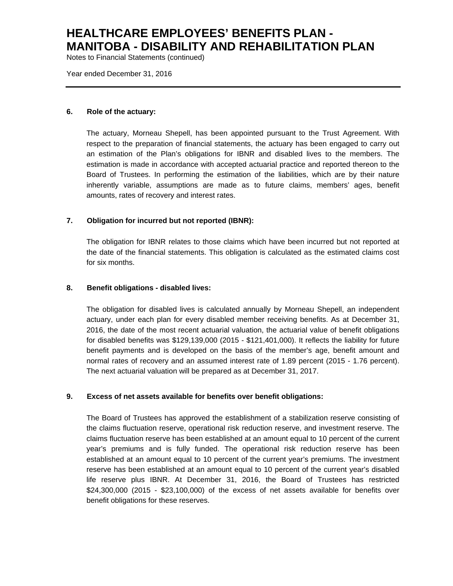Notes to Financial Statements (continued)

Year ended December 31, 2016

#### **6. Role of the actuary:**

The actuary, Morneau Shepell, has been appointed pursuant to the Trust Agreement. With respect to the preparation of financial statements, the actuary has been engaged to carry out an estimation of the Plan's obligations for IBNR and disabled lives to the members. The estimation is made in accordance with accepted actuarial practice and reported thereon to the Board of Trustees. In performing the estimation of the liabilities, which are by their nature inherently variable, assumptions are made as to future claims, members' ages, benefit amounts, rates of recovery and interest rates.

### **7. Obligation for incurred but not reported (IBNR):**

The obligation for IBNR relates to those claims which have been incurred but not reported at the date of the financial statements. This obligation is calculated as the estimated claims cost for six months.

#### **8. Benefit obligations - disabled lives:**

The obligation for disabled lives is calculated annually by Morneau Shepell, an independent actuary, under each plan for every disabled member receiving benefits. As at December 31, 2016, the date of the most recent actuarial valuation, the actuarial value of benefit obligations for disabled benefits was \$129,139,000 (2015 - \$121,401,000). It reflects the liability for future benefit payments and is developed on the basis of the member's age, benefit amount and normal rates of recovery and an assumed interest rate of 1.89 percent (2015 - 1.76 percent). The next actuarial valuation will be prepared as at December 31, 2017.

### **9. Excess of net assets available for benefits over benefit obligations:**

The Board of Trustees has approved the establishment of a stabilization reserve consisting of the claims fluctuation reserve, operational risk reduction reserve, and investment reserve. The claims fluctuation reserve has been established at an amount equal to 10 percent of the current year's premiums and is fully funded. The operational risk reduction reserve has been established at an amount equal to 10 percent of the current year's premiums. The investment reserve has been established at an amount equal to 10 percent of the current year's disabled life reserve plus IBNR. At December 31, 2016, the Board of Trustees has restricted \$24,300,000 (2015 - \$23,100,000) of the excess of net assets available for benefits over benefit obligations for these reserves.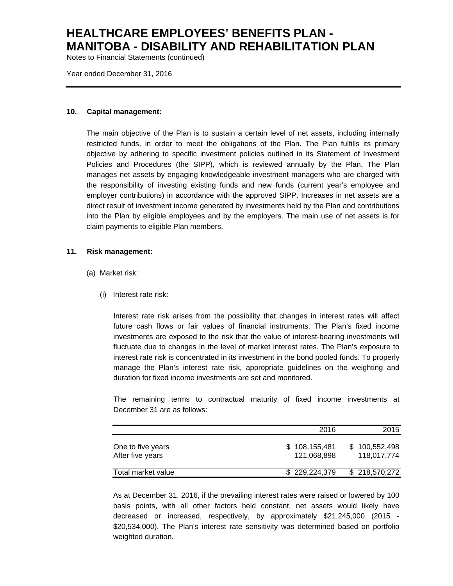Notes to Financial Statements (continued)

Year ended December 31, 2016

#### **10. Capital management:**

The main objective of the Plan is to sustain a certain level of net assets, including internally restricted funds, in order to meet the obligations of the Plan. The Plan fulfills its primary objective by adhering to specific investment policies outlined in its Statement of Investment Policies and Procedures (the SIPP), which is reviewed annually by the Plan. The Plan manages net assets by engaging knowledgeable investment managers who are charged with the responsibility of investing existing funds and new funds (current year's employee and employer contributions) in accordance with the approved SIPP. Increases in net assets are a direct result of investment income generated by investments held by the Plan and contributions into the Plan by eligible employees and by the employers. The main use of net assets is for claim payments to eligible Plan members.

#### **11. Risk management:**

- (a) Market risk:
	- (i) Interest rate risk:

Interest rate risk arises from the possibility that changes in interest rates will affect future cash flows or fair values of financial instruments. The Plan's fixed income investments are exposed to the risk that the value of interest-bearing investments will fluctuate due to changes in the level of market interest rates. The Plan's exposure to interest rate risk is concentrated in its investment in the bond pooled funds. To properly manage the Plan's interest rate risk, appropriate guidelines on the weighting and duration for fixed income investments are set and monitored.

The remaining terms to contractual maturity of fixed income investments at December 31 are as follows:

|                                       | 2016                         | 2015                         |
|---------------------------------------|------------------------------|------------------------------|
| One to five years<br>After five years | \$108,155,481<br>121.068.898 | \$100,552,498<br>118.017.774 |
| Total market value                    | \$229,224,379                | \$218,570,272                |

As at December 31, 2016, if the prevailing interest rates were raised or lowered by 100 basis points, with all other factors held constant, net assets would likely have decreased or increased, respectively, by approximately \$21,245,000 (2015 - \$20,534,000). The Plan's interest rate sensitivity was determined based on portfolio weighted duration.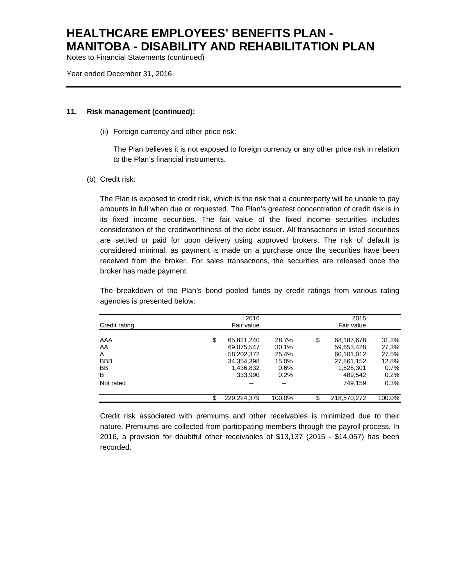Notes to Financial Statements (continued)

Year ended December 31, 2016

#### **11. Risk management (continued):**

(ii) Foreign currency and other price risk:

The Plan believes it is not exposed to foreign currency or any other price risk in relation to the Plan's financial instruments.

(b) Credit risk:

The Plan is exposed to credit risk, which is the risk that a counterparty will be unable to pay amounts in full when due or requested. The Plan's greatest concentration of credit risk is in its fixed income securities. The fair value of the fixed income securities includes consideration of the creditworthiness of the debt issuer. All transactions in listed securities are settled or paid for upon delivery using approved brokers. The risk of default is considered minimal, as payment is made on a purchase once the securities have been received from the broker. For sales transactions, the securities are released once the broker has made payment.

The breakdown of the Plan's bond pooled funds by credit ratings from various rating agencies is presented below:

| Credit rating                                               | 2016<br>Fair value                                                                 | 2015<br>Fair value                                  |     |                                                                                         |                                                                |
|-------------------------------------------------------------|------------------------------------------------------------------------------------|-----------------------------------------------------|-----|-----------------------------------------------------------------------------------------|----------------------------------------------------------------|
| AAA<br>AA<br>A<br><b>BBB</b><br><b>BB</b><br>B<br>Not rated | \$<br>65.821.240<br>69.075.547<br>58,202,372<br>34,354,398<br>1,436,832<br>333.990 | 28.7%<br>30.1%<br>25.4%<br>15.0%<br>$0.6\%$<br>0.2% | \$  | 68,187,678<br>59,653,428<br>60,101,012<br>27,861,152<br>1,528,301<br>489.542<br>749.159 | 31.2%<br>27.3%<br>27.5%<br>12.8%<br>$0.7\%$<br>$0.2\%$<br>0.3% |
|                                                             | 229.224.379                                                                        | 100.0%                                              | \$. | 218,570,272                                                                             | 100.0%                                                         |

Credit risk associated with premiums and other receivables is minimized due to their nature. Premiums are collected from participating members through the payroll process. In 2016, a provision for doubtful other receivables of \$13,137 (2015 - \$14,057) has been recorded.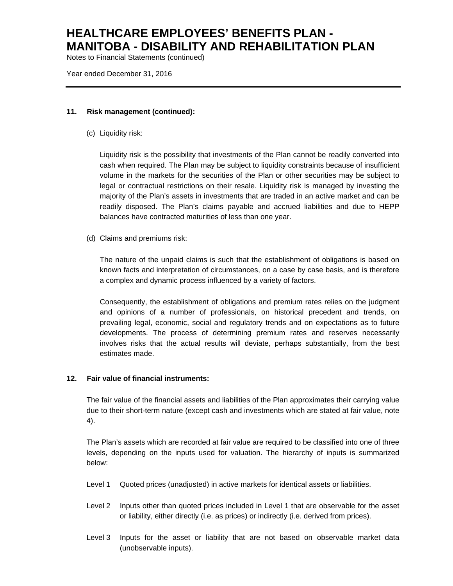Notes to Financial Statements (continued)

Year ended December 31, 2016

#### **11. Risk management (continued):**

(c) Liquidity risk:

Liquidity risk is the possibility that investments of the Plan cannot be readily converted into cash when required. The Plan may be subject to liquidity constraints because of insufficient volume in the markets for the securities of the Plan or other securities may be subject to legal or contractual restrictions on their resale. Liquidity risk is managed by investing the majority of the Plan's assets in investments that are traded in an active market and can be readily disposed. The Plan's claims payable and accrued liabilities and due to HEPP balances have contracted maturities of less than one year.

(d) Claims and premiums risk:

The nature of the unpaid claims is such that the establishment of obligations is based on known facts and interpretation of circumstances, on a case by case basis, and is therefore a complex and dynamic process influenced by a variety of factors.

Consequently, the establishment of obligations and premium rates relies on the judgment and opinions of a number of professionals, on historical precedent and trends, on prevailing legal, economic, social and regulatory trends and on expectations as to future developments. The process of determining premium rates and reserves necessarily involves risks that the actual results will deviate, perhaps substantially, from the best estimates made.

### **12. Fair value of financial instruments:**

The fair value of the financial assets and liabilities of the Plan approximates their carrying value due to their short-term nature (except cash and investments which are stated at fair value, note 4).

The Plan's assets which are recorded at fair value are required to be classified into one of three levels, depending on the inputs used for valuation. The hierarchy of inputs is summarized below:

- Level 1 Quoted prices (unadjusted) in active markets for identical assets or liabilities.
- Level 2 Inputs other than quoted prices included in Level 1 that are observable for the asset or liability, either directly (i.e. as prices) or indirectly (i.e. derived from prices).
- Level 3 Inputs for the asset or liability that are not based on observable market data (unobservable inputs).